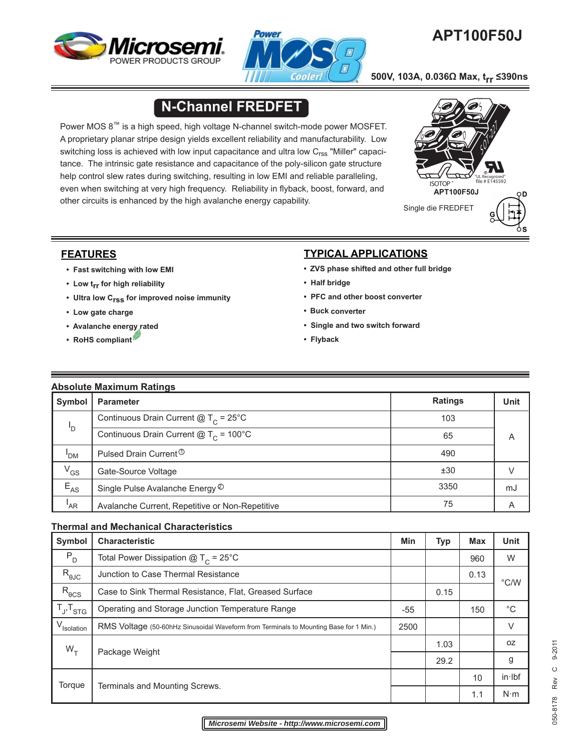



# **APT100F50J**

 **500V, 103A, 0.036Ω Max, trr ≤390ns**

# **N-Channel FREDFET**

Power MOS 8™ is a high speed, high voltage N-channel switch-mode power MOSFET. A proprietary planar stripe design yields excellent reliability and manufacturability. Low switching loss is achieved with low input capacitance and ultra low  $C_{\rm rss}$  "Miller" capacitance. The intrinsic gate resistance and capacitance of the poly-silicon gate structure help control slew rates during switching, resulting in low EMI and reliable paralleling, even when switching at very high frequency. Reliability in flyback, boost, forward, and other circuits is enhanced by the high avalanche energy capability.



## **FEATURES**

- **Fast switching with low EMI**
- **Low trr for high reliability**
- **Ultra low Crss for improved noise immunity**
- **Low gate charge**
- **• Avalanche energy rated**
- **RoHS compliant**

## **TYPICAL APPLICATIONS**

- **ZVS phase shifted and other full bridge**
- **Half bridge**
- **PFC and other boost converter**
- **Buck converter**
- **Single and two switch forward**
- **Flyback**

| <b>Absolute Maximum Ratings</b> |                                                 |                |                |  |  |  |  |
|---------------------------------|-------------------------------------------------|----------------|----------------|--|--|--|--|
| Symbol                          | <b>Parameter</b>                                | <b>Ratings</b> | <b>Unit</b>    |  |  |  |  |
|                                 | Continuous Drain Current $@T_c = 25°C$          | 103            |                |  |  |  |  |
| 'D                              | Continuous Drain Current $@T_c = 100°C$         | 65             | $\overline{A}$ |  |  |  |  |
| 'DM                             | Pulsed Drain Current <sup>①</sup>               | 490            |                |  |  |  |  |
| $V_{GS}$                        | Gate-Source Voltage                             | ±30            |                |  |  |  |  |
| $E_{AS}$                        | Single Pulse Avalanche Energy <sup>2</sup>      | 3350           | mJ             |  |  |  |  |
| 'AR                             | Avalanche Current, Repetitive or Non-Repetitive | 75             | A              |  |  |  |  |

### **Thermal and Mechanical Characteristics**

| Symbol                    | <b>Characteristic</b>                                                                 |     | <b>Typ</b> | <b>Max</b> | <b>Unit</b>   |
|---------------------------|---------------------------------------------------------------------------------------|-----|------------|------------|---------------|
| $P_D$                     | Total Power Dissipation $@T_c = 25°C$                                                 |     |            | 960        | W             |
| $\mathsf{R}_{\text{0JC}}$ | Junction to Case Thermal Resistance                                                   |     |            | 0.13       | $\degree$ C/W |
| $R_{\theta CS}$           | Case to Sink Thermal Resistance, Flat, Greased Surface                                |     | 0.15       |            |               |
| $T_{J}$ , $T_{STG}$       | Operating and Storage Junction Temperature Range                                      | -55 |            | 150        | $^{\circ}C$   |
| V <sub>Isolation</sub>    | RMS Voltage (50-60hHz Sinusoidal Waveform from Terminals to Mounting Base for 1 Min.) |     |            |            | $\vee$        |
| $W_T$                     |                                                                                       |     | 1.03       |            | 0Z            |
|                           | Package Weight                                                                        |     | 29.2       |            | g             |
| Torque                    |                                                                                       |     |            | 10         | in·lbf        |
|                           | Terminals and Mounting Screws.                                                        |     |            | 1.1        | $N \cdot m$   |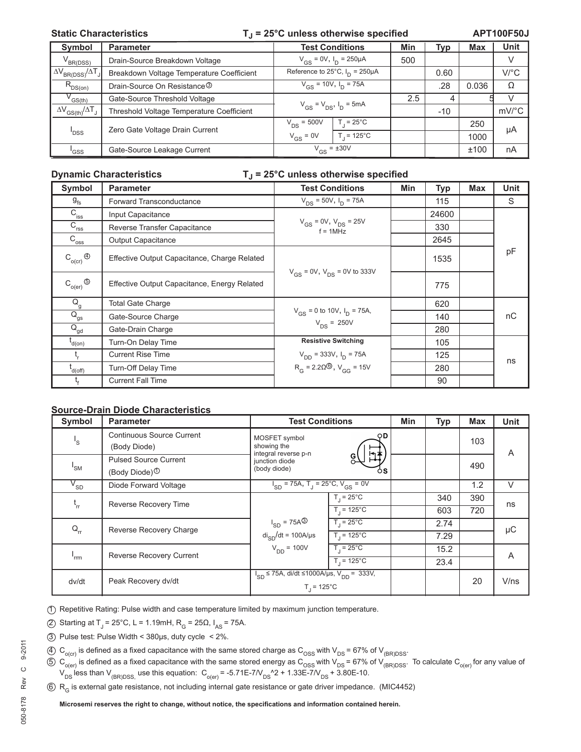#### Static Characteristics **T**<sub>J</sub> = 25°C unless otherwise specified

**APT100F50J**

| Symbol                                                | <b>Parameter</b>                          | <b>Test Conditions</b>               |                    | Min | Typ   | <b>Max</b> | Unit    |
|-------------------------------------------------------|-------------------------------------------|--------------------------------------|--------------------|-----|-------|------------|---------|
| $V_{BR(DSS)}$                                         | Drain-Source Breakdown Voltage            | $V_{GS} = 0V$ , $I_D = 250 \mu A$    |                    | 500 |       |            | V       |
| $\Delta V_{BR(DSS)}/\Delta T$                         | Breakdown Voltage Temperature Coefficient | Reference to 25°C, $I_D = 250 \mu A$ |                    |     | 0.60  |            | $V$ /°C |
| $R_{DS(on)}$                                          | Drain-Source On Resistance <sup>3</sup>   | $V_{GS}$ = 10V, $I_D$ = 75A          |                    |     | .28   | 0.036      | Ω       |
| ${\mathsf v}_{\mathsf{GS}(\mathsf{th})}$              | Gate-Source Threshold Voltage             | $V_{GS} = V_{DS}$ , $I_D = 5mA$      |                    | 2.5 |       |            |         |
| $\Delta V$ <sub>GS(th)</sub> $/\Delta T$ <sub>J</sub> | Threshold Voltage Temperature Coefficient |                                      |                    |     | $-10$ |            | mV/°C   |
|                                                       | Zero Gate Voltage Drain Current           | $V_{DS}$ = 500V                      | $T = 25^{\circ}$ C |     |       | 250        | μA      |
| ' <sub>DSS</sub>                                      |                                           | $V_{GS} = 0V$                        | $T = 125^{\circ}C$ |     |       | 1000       |         |
| 'GSS                                                  | Gate-Source Leakage Current               | $V_{GS} = \pm 30V$                   |                    |     |       | ±100       | nA      |

#### **Dynamic Characteristics TJ = 25°C unless otherwise specified**

| <b>Symbol</b>                                      | <b>Parameter</b>                             | <b>Test Conditions</b>                               | Min | <b>Typ</b> | <b>Max</b> | <b>Unit</b> |
|----------------------------------------------------|----------------------------------------------|------------------------------------------------------|-----|------------|------------|-------------|
| $g_{\rm fs}$                                       | Forward Transconductance                     | $V_{DS}$ = 50V, $I_{D}$ = 75A                        |     | 115        |            | S           |
| $C_{\text{iss}}$                                   | Input Capacitance                            |                                                      |     | 24600      |            |             |
| $C_{\text{rss}}$                                   | Reverse Transfer Capacitance                 | $V_{GS}$ = 0V, $V_{DS}$ = 25V<br>$f = 1$ MHz         |     | 330        |            |             |
| $C_{\overline{\text{oss}}}$                        | <b>Output Capacitance</b>                    |                                                      |     | 2645       |            |             |
| $\mathsf{C}_{\mathsf{o}(\mathsf{cr})} \circledast$ | Effective Output Capacitance, Charge Related |                                                      |     | 1535       |            | pF          |
| $C_{o(er)}$ $\circledcirc$                         | Effective Output Capacitance, Energy Related | $V_{GS}$ = 0V, $V_{DS}$ = 0V to 333V                 |     | 775        |            |             |
| $Q_{g}$                                            | <b>Total Gate Charge</b>                     |                                                      |     | 620        |            |             |
| $Q_{gs}$                                           | Gate-Source Charge                           | $V_{GS}$ = 0 to 10V, $I_D$ = 75A,<br>$V_{DS} = 250V$ |     | 140        |            | nС          |
| $\overline{Q}_{gd}$                                | Gate-Drain Charge                            |                                                      |     | 280        |            |             |
| $I_{d(0n)}$                                        | Turn-On Delay Time                           | <b>Resistive Switching</b>                           |     | 105        |            |             |
|                                                    | <b>Current Rise Time</b>                     | $V_{DD}$ = 333V, $I_D$ = 75A                         |     | 125        |            | ns          |
| d(off)                                             | <b>Turn-Off Delay Time</b>                   | $R_G = 2.20\%$ , $V_{GG} = 15V$                      |     | 280        |            |             |
|                                                    | <b>Current Fall Time</b>                     |                                                      |     | 90         |            |             |

#### **Source-Drain Diode Characteristics**

| Symbol                       | <b>Parameter</b>                                          | <b>Test Conditions</b>                                                      | Min | <b>Typ</b> | <b>Max</b> | <b>Unit</b> |
|------------------------------|-----------------------------------------------------------|-----------------------------------------------------------------------------|-----|------------|------------|-------------|
| $\mathsf{I}_\mathsf{S}$      | <b>Continuous Source Current</b><br>(Body Diode)          | OD.<br>MOSFET symbol<br>showing the<br>integral reverse p-n                 |     |            | 103        | A           |
| 'SM                          | <b>Pulsed Source Current</b><br>(Body Diode) <sup>①</sup> | MŦ<br>junction diode<br>(body diode)<br>оs                                  |     |            | 490        |             |
| $V_{SD}$                     | Diode Forward Voltage                                     | $I_{SD}$ = 75A, T <sub>J</sub> = 25°C, V <sub>GS</sub> = 0V                 |     |            | 1.2        | V           |
| $\mathfrak{t}_{\mathsf{rr}}$ | Reverse Recovery Time<br>Reverse Recovery Charge          | $T_{\rm d}$ = 25°C                                                          |     | 340        | 390        | ns          |
|                              |                                                           | $T_1 = 125^{\circ}C$                                                        |     | 603        | 720        |             |
| $Q_{rr}$                     |                                                           | $I_{SD}$ = 75A <sup>③</sup><br>$T_1 = 25^{\circ}$ C                         |     | 2.74       |            | μC          |
|                              |                                                           | $di_{SD}/dt = 100A/\mu s$<br>$T_1 = 125^{\circ}C$                           |     | 7.29       |            |             |
| 'rrm                         | <b>Reverse Recovery Current</b>                           | $V_{DD} = 100V$<br>$T_1 = 25^{\circ}$ C                                     |     | 15.2       |            | A           |
|                              |                                                           | $T_1 = 125^{\circ}C$                                                        |     | 23.4       |            |             |
| dv/dt                        | Peak Recovery dv/dt                                       | $I_{SD}$ ≤ 75A, di/dt ≤1000A/µs, V <sub>DD</sub> = 333V,<br>$T_{1}$ = 125°C |     |            | 20         | V/ns        |

1 Repetitive Rating: Pulse width and case temperature limited by maximum junction temperature.

(2) Starting at T<sub>J</sub> = 25°C, L = 1.19mH, R<sub>G</sub> = 25Ω, I<sub>AS</sub> = 75A.

- 3 Pulse test: Pulse Width < 380μs, duty cycle < 2%.
- $40 \text{ C}_{\text{o (cr)}}$  is defined as a fixed capacitance with the same stored charge as  $C_{\text{OSS}}$  with  $V_{DS}$  = 67% of  $V_{\text{(BR)DSS}}$ .
- $5$  C<sub>o(er)</sub> is defined as a fixed capacitance with the same stored energy as C<sub>OSS</sub> with V<sub>DS</sub> = 67% of V<sub>(BR)DSS</sub>. To calculate C<sub>o(er)</sub> for any value of  $V_{DS}^{(0)}$  less than  $V_{(BR)DSS}$  use this equation:  $C_{O(er)} = -5.71E-7/V_{DS}^2$  + 1.33E-7/V<sub>DS</sub> + 3.80E-10.
- $6 R<sub>G</sub>$  is external gate resistance, not including internal gate resistance or gate driver impedance. (MIC4452)

Microsemi reserves the right to change, without notice, the specifications and information contained herein.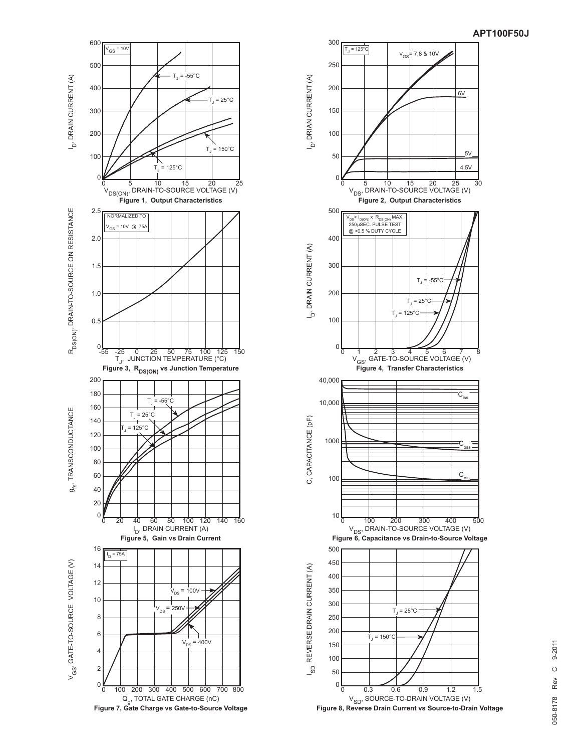



 **Figure 8, Reverse Drain Current vs Source-to-Drain Voltage**